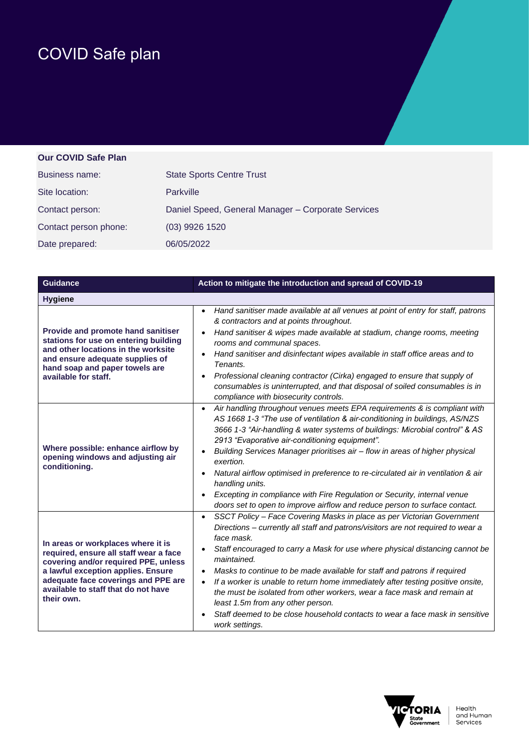## COVID Safe plan

## **Our COVID Safe Plan**

| Business name:        | <b>State Sports Centre Trust</b>                   |
|-----------------------|----------------------------------------------------|
| Site location:        | Parkville                                          |
| Contact person:       | Daniel Speed, General Manager - Corporate Services |
| Contact person phone: | $(03)$ 9926 1520                                   |
| Date prepared:        | 06/05/2022                                         |

| <b>Guidance</b>                                                                                                                                                                                                                                        | Action to mitigate the introduction and spread of COVID-19                                                                                                                                                                                                                                                                                                                                                                                                                                                                                                                                                                                                             |
|--------------------------------------------------------------------------------------------------------------------------------------------------------------------------------------------------------------------------------------------------------|------------------------------------------------------------------------------------------------------------------------------------------------------------------------------------------------------------------------------------------------------------------------------------------------------------------------------------------------------------------------------------------------------------------------------------------------------------------------------------------------------------------------------------------------------------------------------------------------------------------------------------------------------------------------|
| <b>Hygiene</b>                                                                                                                                                                                                                                         |                                                                                                                                                                                                                                                                                                                                                                                                                                                                                                                                                                                                                                                                        |
| Provide and promote hand sanitiser<br>stations for use on entering building<br>and other locations in the worksite<br>and ensure adequate supplies of<br>hand soap and paper towels are<br>available for staff.                                        | Hand sanitiser made available at all venues at point of entry for staff, patrons<br>$\bullet$<br>& contractors and at points throughout.<br>Hand sanitiser & wipes made available at stadium, change rooms, meeting<br>rooms and communal spaces.<br>Hand sanitiser and disinfectant wipes available in staff office areas and to<br>Tenants.<br>Professional cleaning contractor (Cirka) engaged to ensure that supply of<br>consumables is uninterrupted, and that disposal of soiled consumables is in<br>compliance with biosecurity controls.                                                                                                                     |
| Where possible: enhance airflow by<br>opening windows and adjusting air<br>conditioning.                                                                                                                                                               | Air handling throughout venues meets EPA requirements & is compliant with<br>$\bullet$<br>AS 1668 1-3 "The use of ventilation & air-conditioning in buildings, AS/NZS<br>3666 1-3 "Air-handling & water systems of buildings: Microbial control" & AS<br>2913 "Evaporative air-conditioning equipment".<br>Building Services Manager prioritises air - flow in areas of higher physical<br>exertion.<br>Natural airflow optimised in preference to re-circulated air in ventilation & air<br>handling units.<br>Excepting in compliance with Fire Regulation or Security, internal venue<br>doors set to open to improve airflow and reduce person to surface contact. |
| In areas or workplaces where it is<br>required, ensure all staff wear a face<br>covering and/or required PPE, unless<br>a lawful exception applies. Ensure<br>adequate face coverings and PPE are<br>available to staff that do not have<br>their own. | SSCT Policy - Face Covering Masks in place as per Victorian Government<br>$\bullet$<br>Directions - currently all staff and patrons/visitors are not required to wear a<br>face mask.<br>Staff encouraged to carry a Mask for use where physical distancing cannot be<br>maintained.<br>Masks to continue to be made available for staff and patrons if required<br>If a worker is unable to return home immediately after testing positive onsite,<br>the must be isolated from other workers, wear a face mask and remain at<br>least 1.5m from any other person.<br>Staff deemed to be close household contacts to wear a face mask in sensitive<br>work settings.  |

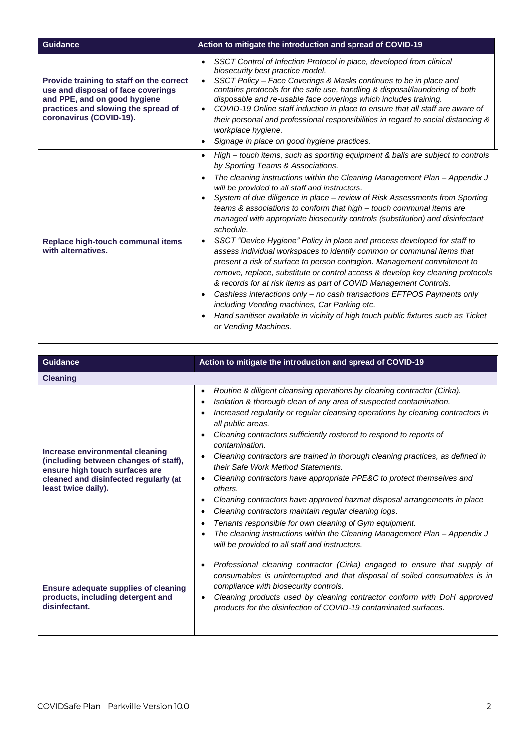| <b>Guidance</b>                                                                                                                                                                  | Action to mitigate the introduction and spread of COVID-19                                                                                                                                                                                                                                                                                                                                                                                                                                                                                                                                                                                                                                                                                                                                                                                                                                                                                                                                                                                                                                                                                           |
|----------------------------------------------------------------------------------------------------------------------------------------------------------------------------------|------------------------------------------------------------------------------------------------------------------------------------------------------------------------------------------------------------------------------------------------------------------------------------------------------------------------------------------------------------------------------------------------------------------------------------------------------------------------------------------------------------------------------------------------------------------------------------------------------------------------------------------------------------------------------------------------------------------------------------------------------------------------------------------------------------------------------------------------------------------------------------------------------------------------------------------------------------------------------------------------------------------------------------------------------------------------------------------------------------------------------------------------------|
| Provide training to staff on the correct<br>use and disposal of face coverings<br>and PPE, and on good hygiene<br>practices and slowing the spread of<br>coronavirus (COVID-19). | SSCT Control of Infection Protocol in place, developed from clinical<br>$\bullet$<br>biosecurity best practice model.<br>SSCT Policy - Face Coverings & Masks continues to be in place and<br>contains protocols for the safe use, handling & disposal/laundering of both<br>disposable and re-usable face coverings which includes training.<br>COVID-19 Online staff induction in place to ensure that all staff are aware of<br>$\bullet$<br>their personal and professional responsibilities in regard to social distancing &<br>workplace hygiene.<br>Signage in place on good hygiene practices.                                                                                                                                                                                                                                                                                                                                                                                                                                                                                                                                               |
| Replace high-touch communal items<br>with alternatives.                                                                                                                          | High – touch items, such as sporting equipment & balls are subject to controls<br>$\bullet$<br>by Sporting Teams & Associations.<br>The cleaning instructions within the Cleaning Management Plan – Appendix J<br>will be provided to all staff and instructors.<br>System of due diligence in place – review of Risk Assessments from Sporting<br>teams & associations to conform that high – touch communal items are<br>managed with appropriate biosecurity controls (substitution) and disinfectant<br>schedule.<br>SSCT "Device Hygiene" Policy in place and process developed for staff to<br>assess individual workspaces to identify common or communal items that<br>present a risk of surface to person contagion. Management commitment to<br>remove, replace, substitute or control access & develop key cleaning protocols<br>& records for at risk items as part of COVID Management Controls.<br>Cashless interactions only – no cash transactions EFTPOS Payments only<br>including Vending machines, Car Parking etc.<br>Hand sanitiser available in vicinity of high touch public fixtures such as Ticket<br>or Vending Machines. |

| <b>Guidance</b>                                                                                                                                                            | Action to mitigate the introduction and spread of COVID-19                                                                                                                                                                                                                                                                                                                                                                                                                                                                                                                                                                                                                                                                                                                                                                                                                                                         |
|----------------------------------------------------------------------------------------------------------------------------------------------------------------------------|--------------------------------------------------------------------------------------------------------------------------------------------------------------------------------------------------------------------------------------------------------------------------------------------------------------------------------------------------------------------------------------------------------------------------------------------------------------------------------------------------------------------------------------------------------------------------------------------------------------------------------------------------------------------------------------------------------------------------------------------------------------------------------------------------------------------------------------------------------------------------------------------------------------------|
| <b>Cleaning</b>                                                                                                                                                            |                                                                                                                                                                                                                                                                                                                                                                                                                                                                                                                                                                                                                                                                                                                                                                                                                                                                                                                    |
| Increase environmental cleaning<br>(including between changes of staff),<br>ensure high touch surfaces are<br>cleaned and disinfected regularly (at<br>least twice daily). | Routine & diligent cleansing operations by cleaning contractor (Cirka).<br>$\bullet$<br>Isolation & thorough clean of any area of suspected contamination.<br>Increased regularity or regular cleansing operations by cleaning contractors in<br>all public areas.<br>Cleaning contractors sufficiently rostered to respond to reports of<br>contamination.<br>Cleaning contractors are trained in thorough cleaning practices, as defined in<br>$\bullet$<br>their Safe Work Method Statements.<br>Cleaning contractors have appropriate PPE&C to protect themselves and<br>others.<br>Cleaning contractors have approved hazmat disposal arrangements in place<br>Cleaning contractors maintain regular cleaning logs.<br>Tenants responsible for own cleaning of Gym equipment.<br>The cleaning instructions within the Cleaning Management Plan - Appendix J<br>will be provided to all staff and instructors. |
| <b>Ensure adequate supplies of cleaning</b><br>products, including detergent and<br>disinfectant.                                                                          | Professional cleaning contractor (Cirka) engaged to ensure that supply of<br>$\bullet$<br>consumables is uninterrupted and that disposal of soiled consumables is in<br>compliance with biosecurity controls.<br>Cleaning products used by cleaning contractor conform with DoH approved<br>$\bullet$<br>products for the disinfection of COVID-19 contaminated surfaces.                                                                                                                                                                                                                                                                                                                                                                                                                                                                                                                                          |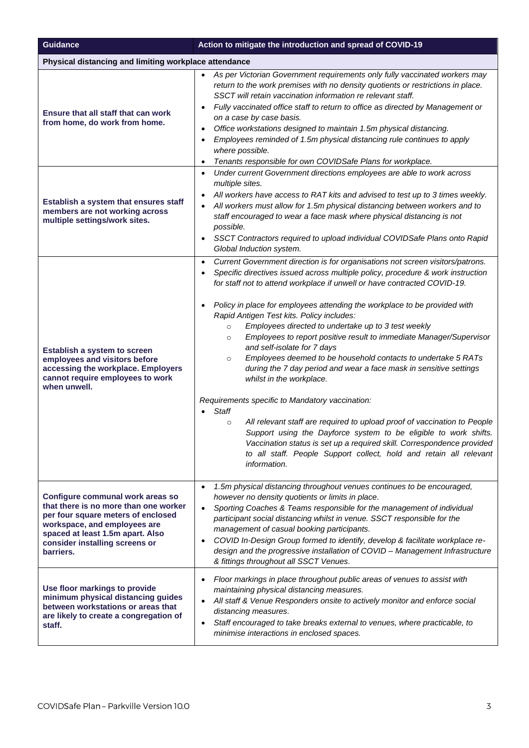| <b>Guidance</b>                                                                                                                                                                                                                    | Action to mitigate the introduction and spread of COVID-19                                                                                                                                                                                                                                                                                                                                                                                                                                                                                                                                                                                                                                                                                                                                                                                                                                                                                                                                                                                                                                                                                          |  |  |
|------------------------------------------------------------------------------------------------------------------------------------------------------------------------------------------------------------------------------------|-----------------------------------------------------------------------------------------------------------------------------------------------------------------------------------------------------------------------------------------------------------------------------------------------------------------------------------------------------------------------------------------------------------------------------------------------------------------------------------------------------------------------------------------------------------------------------------------------------------------------------------------------------------------------------------------------------------------------------------------------------------------------------------------------------------------------------------------------------------------------------------------------------------------------------------------------------------------------------------------------------------------------------------------------------------------------------------------------------------------------------------------------------|--|--|
|                                                                                                                                                                                                                                    | Physical distancing and limiting workplace attendance                                                                                                                                                                                                                                                                                                                                                                                                                                                                                                                                                                                                                                                                                                                                                                                                                                                                                                                                                                                                                                                                                               |  |  |
| Ensure that all staff that can work<br>from home, do work from home.                                                                                                                                                               | As per Victorian Government requirements only fully vaccinated workers may<br>return to the work premises with no density quotients or restrictions in place.<br>SSCT will retain vaccination information re relevant staff.<br>Fully vaccinated office staff to return to office as directed by Management or<br>on a case by case basis.<br>Office workstations designed to maintain 1.5m physical distancing.<br>Employees reminded of 1.5m physical distancing rule continues to apply<br>where possible.<br>Tenants responsible for own COVIDSafe Plans for workplace.                                                                                                                                                                                                                                                                                                                                                                                                                                                                                                                                                                         |  |  |
| Establish a system that ensures staff<br>members are not working across<br>multiple settings/work sites.                                                                                                                           | Under current Government directions employees are able to work across<br>multiple sites.<br>All workers have access to RAT kits and advised to test up to 3 times weekly.<br>All workers must allow for 1.5m physical distancing between workers and to<br>staff encouraged to wear a face mask where physical distancing is not<br>possible.<br>SSCT Contractors required to upload individual COVIDSafe Plans onto Rapid<br>$\bullet$<br>Global Induction system.                                                                                                                                                                                                                                                                                                                                                                                                                                                                                                                                                                                                                                                                                 |  |  |
| Establish a system to screen<br>employees and visitors before<br>accessing the workplace. Employers<br>cannot require employees to work<br>when unwell.                                                                            | Current Government direction is for organisations not screen visitors/patrons.<br>$\bullet$<br>Specific directives issued across multiple policy, procedure & work instruction<br>for staff not to attend workplace if unwell or have contracted COVID-19.<br>Policy in place for employees attending the workplace to be provided with<br>Rapid Antigen Test kits. Policy includes:<br>Employees directed to undertake up to 3 test weekly<br>$\circ$<br>Employees to report positive result to immediate Manager/Supervisor<br>$\circ$<br>and self-isolate for 7 days<br>Employees deemed to be household contacts to undertake 5 RATs<br>$\circ$<br>during the 7 day period and wear a face mask in sensitive settings<br>whilst in the workplace.<br>Requirements specific to Mandatory vaccination:<br><b>Staff</b><br>All relevant staff are required to upload proof of vaccination to People<br>$\circ$<br>Support using the Dayforce system to be eligible to work shifts.<br>Vaccination status is set up a required skill. Correspondence provided<br>to all staff. People Support collect, hold and retain all relevant<br>information. |  |  |
| Configure communal work areas so<br>that there is no more than one worker<br>per four square meters of enclosed<br>workspace, and employees are<br>spaced at least 1.5m apart. Also<br>consider installing screens or<br>barriers. | 1.5m physical distancing throughout venues continues to be encouraged,<br>however no density quotients or limits in place.<br>Sporting Coaches & Teams responsible for the management of individual<br>$\bullet$<br>participant social distancing whilst in venue. SSCT responsible for the<br>management of casual booking participants.<br>COVID In-Design Group formed to identify, develop & facilitate workplace re-<br>$\bullet$<br>design and the progressive installation of COVID - Management Infrastructure<br>& fittings throughout all SSCT Venues.                                                                                                                                                                                                                                                                                                                                                                                                                                                                                                                                                                                    |  |  |
| Use floor markings to provide<br>minimum physical distancing guides<br>between workstations or areas that<br>are likely to create a congregation of<br>staff.                                                                      | Floor markings in place throughout public areas of venues to assist with<br>$\bullet$<br>maintaining physical distancing measures.<br>All staff & Venue Responders onsite to actively monitor and enforce social<br>distancing measures.<br>Staff encouraged to take breaks external to venues, where practicable, to<br>$\bullet$<br>minimise interactions in enclosed spaces.                                                                                                                                                                                                                                                                                                                                                                                                                                                                                                                                                                                                                                                                                                                                                                     |  |  |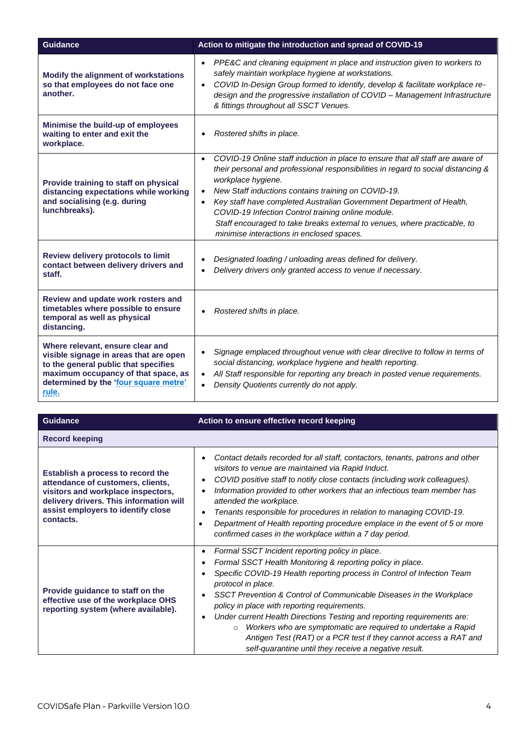| <b>Guidance</b>                                                                                                                                                                                             | Action to mitigate the introduction and spread of COVID-19                                                                                                                                                                                                                                                                                                                                                                                                                                                                                      |
|-------------------------------------------------------------------------------------------------------------------------------------------------------------------------------------------------------------|-------------------------------------------------------------------------------------------------------------------------------------------------------------------------------------------------------------------------------------------------------------------------------------------------------------------------------------------------------------------------------------------------------------------------------------------------------------------------------------------------------------------------------------------------|
| Modify the alignment of workstations<br>so that employees do not face one<br>another.                                                                                                                       | PPE&C and cleaning equipment in place and instruction given to workers to<br>$\bullet$<br>safely maintain workplace hygiene at workstations.<br>COVID In-Design Group formed to identify, develop & facilitate workplace re-<br>$\bullet$<br>design and the progressive installation of COVID - Management Infrastructure<br>& fittings throughout all SSCT Venues.                                                                                                                                                                             |
| Minimise the build-up of employees<br>waiting to enter and exit the<br>workplace.                                                                                                                           | Rostered shifts in place.<br>$\bullet$                                                                                                                                                                                                                                                                                                                                                                                                                                                                                                          |
| Provide training to staff on physical<br>distancing expectations while working<br>and socialising (e.g. during<br>lunchbreaks).                                                                             | COVID-19 Online staff induction in place to ensure that all staff are aware of<br>$\bullet$<br>their personal and professional responsibilities in regard to social distancing &<br>workplace hygiene.<br>New Staff inductions contains training on COVID-19.<br>$\bullet$<br>Key staff have completed Australian Government Department of Health,<br>$\bullet$<br>COVID-19 Infection Control training online module.<br>Staff encouraged to take breaks external to venues, where practicable, to<br>minimise interactions in enclosed spaces. |
| Review delivery protocols to limit<br>contact between delivery drivers and<br>staff.                                                                                                                        | Designated loading / unloading areas defined for delivery.<br>Delivery drivers only granted access to venue if necessary.                                                                                                                                                                                                                                                                                                                                                                                                                       |
| Review and update work rosters and<br>timetables where possible to ensure<br>temporal as well as physical<br>distancing.                                                                                    | Rostered shifts in place.                                                                                                                                                                                                                                                                                                                                                                                                                                                                                                                       |
| Where relevant, ensure clear and<br>visible signage in areas that are open<br>to the general public that specifies<br>maximum occupancy of that space, as<br>determined by the 'four square metre'<br>rule. | Signage emplaced throughout venue with clear directive to follow in terms of<br>social distancing, workplace hygiene and health reporting.<br>All Staff responsible for reporting any breach in posted venue requirements.<br>$\bullet$<br>Density Quotients currently do not apply.                                                                                                                                                                                                                                                            |

| <b>Guidance</b>                                                                                                                                                                                            | Action to ensure effective record keeping                                                                                                                                                                                                                                                                                                                                                                                                                                                                                                                                                                                              |
|------------------------------------------------------------------------------------------------------------------------------------------------------------------------------------------------------------|----------------------------------------------------------------------------------------------------------------------------------------------------------------------------------------------------------------------------------------------------------------------------------------------------------------------------------------------------------------------------------------------------------------------------------------------------------------------------------------------------------------------------------------------------------------------------------------------------------------------------------------|
| <b>Record keeping</b>                                                                                                                                                                                      |                                                                                                                                                                                                                                                                                                                                                                                                                                                                                                                                                                                                                                        |
| Establish a process to record the<br>attendance of customers, clients,<br>visitors and workplace inspectors,<br>delivery drivers. This information will<br>assist employers to identify close<br>contacts. | Contact details recorded for all staff, contactors, tenants, patrons and other<br>visitors to venue are maintained via Rapid Induct.<br>COVID positive staff to notify close contacts (including work colleagues).<br>Information provided to other workers that an infectious team member has<br>attended the workplace.<br>Tenants responsible for procedures in relation to managing COVID-19.<br>Department of Health reporting procedure emplace in the event of 5 or more<br>Ċ<br>confirmed cases in the workplace within a 7 day period.                                                                                        |
| Provide guidance to staff on the<br>effective use of the workplace OHS<br>reporting system (where available).                                                                                              | Formal SSCT Incident reporting policy in place.<br>$\bullet$<br>Formal SSCT Health Monitoring & reporting policy in place.<br>Specific COVID-19 Health reporting process in Control of Infection Team<br>protocol in place.<br>SSCT Prevention & Control of Communicable Diseases in the Workplace<br>policy in place with reporting requirements.<br>Under current Health Directions Testing and reporting requirements are:<br>Workers who are symptomatic are required to undertake a Rapid<br>$\circ$<br>Antigen Test (RAT) or a PCR test if they cannot access a RAT and<br>self-quarantine until they receive a negative result. |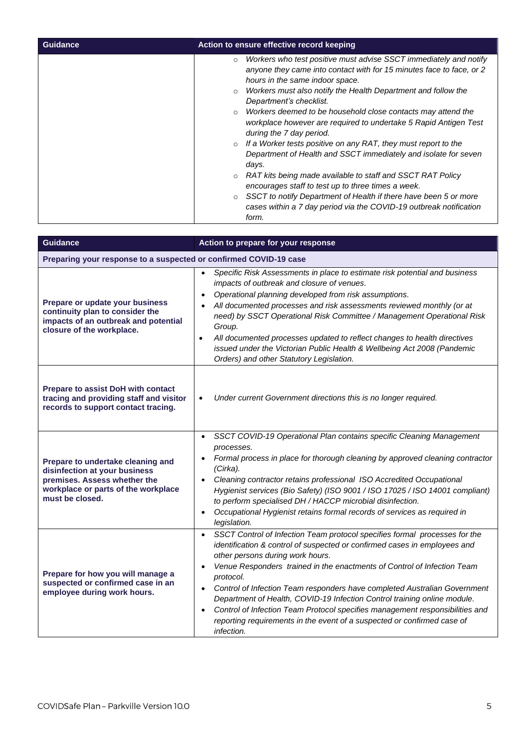| Guidance | Action to ensure effective record keeping                                                                                                                                                                                                                                                                                                                                                                                                                                                                                                                                                                                                                                                                                                                                                                                                        |
|----------|--------------------------------------------------------------------------------------------------------------------------------------------------------------------------------------------------------------------------------------------------------------------------------------------------------------------------------------------------------------------------------------------------------------------------------------------------------------------------------------------------------------------------------------------------------------------------------------------------------------------------------------------------------------------------------------------------------------------------------------------------------------------------------------------------------------------------------------------------|
|          | Workers who test positive must advise SSCT immediately and notify<br>$\circ$<br>anyone they came into contact with for 15 minutes face to face, or 2<br>hours in the same indoor space.<br>Workers must also notify the Health Department and follow the<br>$\circ$<br>Department's checklist.<br>Workers deemed to be household close contacts may attend the<br>$\circ$<br>workplace however are required to undertake 5 Rapid Antigen Test<br>during the 7 day period.<br>If a Worker tests positive on any RAT, they must report to the<br>$\circ$<br>Department of Health and SSCT immediately and isolate for seven<br>days.<br>RAT kits being made available to staff and SSCT RAT Policy<br>$\circ$<br>encourages staff to test up to three times a week.<br>SSCT to notify Department of Health if there have been 5 or more<br>$\circ$ |
|          | cases within a 7 day period via the COVID-19 outbreak notification<br>form.                                                                                                                                                                                                                                                                                                                                                                                                                                                                                                                                                                                                                                                                                                                                                                      |

| <b>Guidance</b>                                                                                                                                              | Action to prepare for your response                                                                                                                                                                                                                                                                                                                                                                                                                                                                                                                                                                                                                          |
|--------------------------------------------------------------------------------------------------------------------------------------------------------------|--------------------------------------------------------------------------------------------------------------------------------------------------------------------------------------------------------------------------------------------------------------------------------------------------------------------------------------------------------------------------------------------------------------------------------------------------------------------------------------------------------------------------------------------------------------------------------------------------------------------------------------------------------------|
| Preparing your response to a suspected or confirmed COVID-19 case                                                                                            |                                                                                                                                                                                                                                                                                                                                                                                                                                                                                                                                                                                                                                                              |
| Prepare or update your business<br>continuity plan to consider the<br>impacts of an outbreak and potential<br>closure of the workplace.                      | Specific Risk Assessments in place to estimate risk potential and business<br>impacts of outbreak and closure of venues.<br>Operational planning developed from risk assumptions.<br>All documented processes and risk assessments reviewed monthly (or at<br>need) by SSCT Operational Risk Committee / Management Operational Risk<br>Group.<br>All documented processes updated to reflect changes to health directives<br>$\bullet$<br>issued under the Victorian Public Health & Wellbeing Act 2008 (Pandemic<br>Orders) and other Statutory Legislation.                                                                                               |
| Prepare to assist DoH with contact<br>tracing and providing staff and visitor<br>records to support contact tracing.                                         | Under current Government directions this is no longer required.<br>$\bullet$                                                                                                                                                                                                                                                                                                                                                                                                                                                                                                                                                                                 |
| Prepare to undertake cleaning and<br>disinfection at your business<br>premises. Assess whether the<br>workplace or parts of the workplace<br>must be closed. | SSCT COVID-19 Operational Plan contains specific Cleaning Management<br>$\bullet$<br>processes.<br>Formal process in place for thorough cleaning by approved cleaning contractor<br>(Cirka).<br>Cleaning contractor retains professional ISO Accredited Occupational<br>Hygienist services (Bio Safety) (ISO 9001 / ISO 17025 / ISO 14001 compliant)<br>to perform specialised DH / HACCP microbial disinfection.<br>Occupational Hygienist retains formal records of services as required in<br>$\bullet$<br>legislation.                                                                                                                                   |
| Prepare for how you will manage a<br>suspected or confirmed case in an<br>employee during work hours.                                                        | SSCT Control of Infection Team protocol specifies formal processes for the<br>$\bullet$<br>identification & control of suspected or confirmed cases in employees and<br>other persons during work hours.<br>Venue Responders trained in the enactments of Control of Infection Team<br>$\bullet$<br>protocol.<br>Control of Infection Team responders have completed Australian Government<br>$\bullet$<br>Department of Health, COVID-19 Infection Control training online module.<br>Control of Infection Team Protocol specifies management responsibilities and<br>reporting requirements in the event of a suspected or confirmed case of<br>infection. |